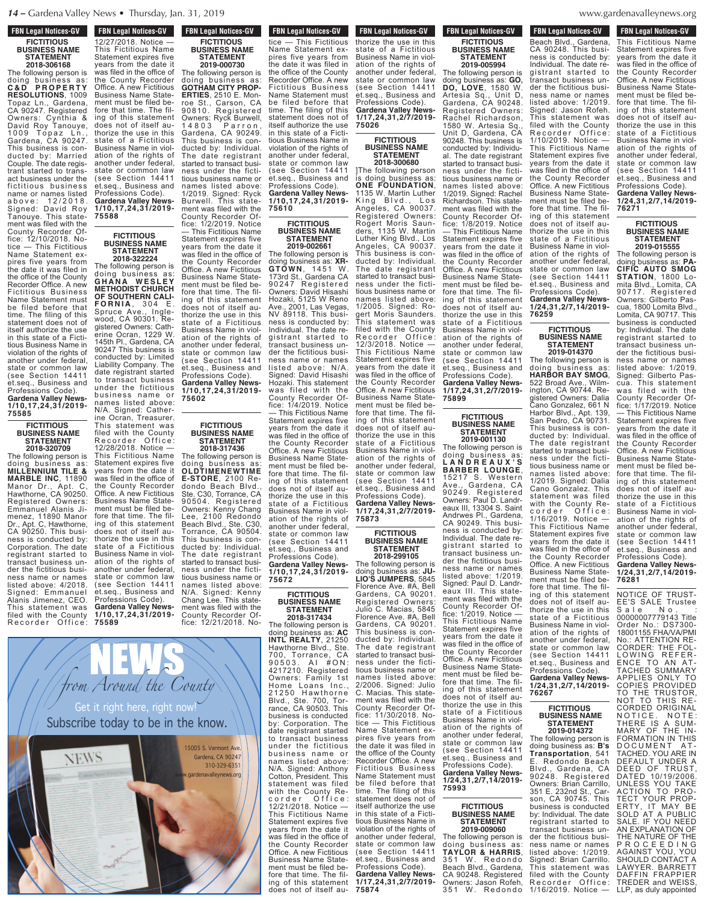# **FBN Legal Notices-GV FICTITIOUS BUSINESS NAME STATEMENT**

**2018-306168** The following person is doing business as: **C & D P R O P E R T Y RESOLUTIONS**, 1009 Topaz Ln., Gardena, CA 90247. Registered Owners: Cynthia & David Roy Tanouye, 1009 Topaz Ln., Gardena, CA 90247. This business is conducted by: Married Couple. The date registrant started to transact business under the fictitious business name or names listed a b o v e : 1 2 / 2 0 1 8 . Signed: David Roy Tanouye. This statement was filed with the County Recorder Office: 12/10/2018. Notice — This Fictitious Name Statement expires five years from the date it was filed in the office of the County Recorder Office. A new Fictitious Business Name Statement must be filed before that time. The filing of this statement does not of itself authorize the use in this state of a Fictitious Business Name in violation of the rights of another under federal, state or common law (see Section 14411 et.seq., Business and Professions Code). **Gardena Valley News-1/10,17,24,31/2019- 75585**

#### **FICTITIOUS BUSINESS NAME STATEMENT 2018-320709**

The following person is doing business as: **MILLENNIUM TILE & MARBLE INC**, 11890 Manor Dr., Apt. C, Hawthorne, CA 90250. Registered Owners: Emmanuel Alanis Jimenez, 11890 Manor Dr., Apt. C, Hawthorne, CA 90250. This business is conducted by: Corporation. The date registrant started to transact business under the fictitious business name or names listed above: 4/2018. Signed: Emmanuel Alanis Jimenez, CEO. This statement was filed with the County Recorder Office:

This Figure 1 is  $\mathcal{L}$ 

12/27/2018. Notice — This Fictitious Name Statement expires five years from the date it was filed in the office of the County Recorder Office. A new Fictitious Business Name Statement must be filed before that time. The filing of this statement does not of itself authorize the use in this state of a Fictitious Business Name in violation of the rights of another under federal, state or common law (see Section 14411<br>et.seq., Business and et.seq., Business and Professions Code). **Gardena Valley News-1/10,17,24,31/2019-**

# **FICTITIOUS BUSINESS NAME**

**75588**

The following person is doing business as: **G H A N A W E S L E Y METHODIST CHURCH OF SOUTHERN CALI-F O R N I A** , 3 0 4 E . Spruce Ave., Inglewood, CA 90301. Registered Owners: Catherine Ocran, 1229 W. 145th Pl., Gardena, CA 90247 This business is conducted by: Limited Liability Company. The date registrant started to transact business under the fictitious business name or names listed above: N/A. Signed: Catherine Ocran, Treasurer. This statement was filed with the County<br>Recorder Office: Recorder Office: 12/28/2018. Notice — This Fictitious Name Statement expires five years from the date it was filed in the office of

the County Recorder Office. A new Fictitious Business Name Statement must be filed before that time. The filing of this statement does not of itself authorize the use in this state of a Fictitious Business Name in violation of the rights of another under federal, state or common law (see Section 14411 et.seq., Business and Professions Code). **Gardena Valley News-1/10,17,24,31/2019-**

**75589**

**FBN Legal Notices-GV FICTITIOUS BUSINESS NAME STATEMENT 2019-000730** The following person is doing business as: **GOTHAM CITY PROP-ERTIES**, 2510 E. Monroe St., Carson, CA 90810. Registered Owners: Ryck Burwell, 14803 Parron, Gardena, CA 90249. This business is conducted by: Individual. **FBN Legal Notices-GV F DIN LEYAL NULLES-UV** 

The date registrant started to transact business under the fictitious business name or names listed above: 1/2019. Signed: Ryck Burwell. This statement was filed with the County Recorder Office: 1/2/2019. Notice — This Fictitious Name

Statement expires five **STATEMENT 2018-322224**

years from the date it was filed in the office of the County Recorder Office. A new Fictitious Business Name Statement must be filed before that time. The filing of this statement does not of itself authorize the use in this state of a Fictitious Business Name in violation of the rights of another under federal, state or common law (see Section 14411 et.seq., Business and Professions Code). **Gardena Valley News-1/10,17,24,31/2019- 75602**

#### **FICTITIOUS BUSINESS NAME STATEMENT 2018-317436**

The following person is<br>doing business as: doing business as: **OLDTIMENEWTIME E-STORE**, 2100 Redondo Beach Blvd., Ste. C30, Torrance, CA 90504. Registered Owners: Kenny Chang Lee, 2100 Redondo Beach Blvd., Ste. C30, Torrance, CA 90504. This business is conducted by: Individual. The date registrant started to transact business under the fictitious business name or names listed above: N/A. Signed: Kenny Chang Lee. This statement was filed with the County Recorder Office: 12/21/2018. No-

 $\overline{\phantom{a}}$  statement ex-

**FBN Legal Notices-GV** FBN LEYAI NULLES-UV tice — This Fictitious Name Statement expires five years from the date it was filed in the office of the County Recorder Office. A new Fictitious Business Name Statement must be filed before that time. The filing of this statement does not of itself authorize the use in this state of a Fictitious Business Name in violation of the rights of another under federal, state or common law (see Section 14411 et.seq., Business and Professions Code). **Gardena Valley News-1/10,17,24,31/2019-**

# **FICTITIOUS BUSINESS NAME STATEMENT**

**75610**

**2019-002661** The following person is doing business as: **XR-GTOWN**, 1451 W. 173rd St., Gardena CA 90247 Registered Owners: David Hisashi Hozaki, 5125 W Reno 2001, Las Vegas, NV 89118. This business is conducted by: Individual. The date registrant started to transact business under the fictitious business name or names listed above: N/A. Signed: David Hisashi Hozaki. This statement was filed with the County Recorder Office: 1/4/2019. Notice — This Fictitious Name Statement expires five years from the date it was filed in the office of the County Recorder Office. A new Fictitious Business Name Statement must be filed before that time. The filing of this statement does not of itself authorize the use in this state of a Fictitious Business Name in violation of the rights of another under federal, state or common law (see Section 14411 et.seq., Business and Professions Code). **Gardena Valley News-1/10,17,24,31/2019- 75672**

# **FICTITIOUS BUSINESS NAME STATEMENT**

**2018-317434** The following person is doing business as: **AC INTL REALTY**, 21250 Hawthorne Blvd., Ste. 700, Torrance, CA 9 0 5 0 3 . A I # O N : 4217210. Registered Owners: Family 1st Home Loans Inc., Home Loans Inc.,<br>21250 Hawthorne Blvd., Ste. 700, Torrance, CA 90503. This business is conducted by: Corporation. The date registrant started to transact business under the fictitious business name or names listed above: N/A. Signed: Anthony Cotton, President. This statement was filed with the County Recorder Office: 12/21/2018. Notice — This Fictitious Name Statement expires five years from the date it was filed in the office of the County Recorder Office. A new Fictitious Business Name Statement must be filed before that time. The filing of this statement does not of itself au-

**FBN Legal Notices-GV** rbiv Leyal Nutiles-dv thorize the use in this state of a Fictitious Business Name in violation of the rights of another under federal, state or common law (see Section 14411 et.seq., Business and Professions Code). **Gardena Valley News-1/17,24,31,2/7/2019-**

#### **FICTITIOUS BUSINESS NAME STATEMENT 2018-300680**

**75026**

]The following person is doing business as: **ONE FOUNDATION**, 1135 W. Martin Luther King Blvd., Los Angeles, CA 90037. Registered Owners: Rogert Moris Saunders, 1135 W. Martin Luther King Blvd., Los Angeles, CA 90037. This business is conducted by: Individual. The date registrant started to transact business under the fictitious business name or names listed above: 1/2005. Signed: Rogert Moris Saunders. This statement was filed with the County Recorder Office: 12/3/2018. Notice — This Fictitious Name Statement expires five years from the date it was filed in the office of the County Recorder Office. A new Fictitious Business Name Statement must be filed before that time. The filing of this statement does not of itself authorize the use in this state of a Fictitious Business Name in viol-

ation of the rights of another under federal state or common law (see Section 14411 et.seq., Business and Professions Code). **Gardena Valley News-1/17,24,31,2/7/2019- 75873**

#### **FICTITIOUS BUSINESS NAME STATEMENT 2018-299105**

The following person is doing business as: **JU-LIO'S JUMPERS**, 5845 Florence Ave. #A, Bell Gardens, CA 90201. Registered Owners: Julio C. Macias, 5845 Florence Ave. #A, Bell Gardens, CA 90201. This business is conducted by: Individual. The date registrant started to transact business under the fictitious business name or names listed above: 2/2006. Signed: Julio C. Macias. This statement was filed with the County Recorder Office: 11/30/2018. Notice — This Fictitious Name Statement expires five years from the date it was filed in the office of the County Recorder Office. A new Fictitious Business Name Statement must be filed before that time. The filing of this statement does not of itself authorize the use in this state of a Fictitious Business Name in violation of the rights of another under federal,<br>state or common law (see Section 14411 et.seq., Business and Professions Code). **Gardena Valley News-**

**1/17,24,31,2/7/2019- 75874**

#### **FBN Legal Notices-GV FICTITIOUS BUSINESS NAME STATEMENT 2019-005994**

The following person is doing business as: **GO, DO, LOVE**, 1580 W. Artesia Sq., Unit D, Gardena, CA 90248. Registered Owners: Rachel Richardson, 1580 W. Artesia Sq., Unit D, Gardena, CA 90248. This business is conducted by: Individu-The date registrant started to transact business under the fictitious business name or names listed above: 1/2019. Signed: Rachel Richardson. This statement was filed with the County Recorder Office: 1/8/2019. Notice — This Fictitious Name Statement expires five years from the date it was filed in the office of the County Recorder Office. A new Fictitious Business Name Statement must be filed before that time. The filing of this statement does not of itself authorize the use in this state of a Fictitious Business Name in violation of the rights of another under federal, state or common law (see Section 14411 et.seq., Business and Professions Code). **Gardena Valley News-1/17,24,31,2/7/2019-**

#### **FICTITIOUS BUSINESS NAME STATEMENT**

**75899**

**2019-001130** The following person is doing business as: **L A N D R E A U X ' S BARBER LOUNGE**, 15217 S. Western Ave., Gardena, CA 90249. Registered Owners: Paul D. Landreaux III, 13304 S. Saint Andrwes Pl., Gardena, CA 90249. This business is conducted by: Individual. The date registrant started to transact business under the fictitious business name or names listed above: 1/2019. Signed: Paul D. Landreaux III. This statement was filed with the County Recorder Office: 1/2019. Notice — This Fictitious Name Statement expires five years from the date it was filed in the office of the County Recorder Office. <sup>A</sup> new Fictitious Business Name Statement must be filed before that time. The filing of this statement does not of itself authorize the use in this state of a Fictitious Business Name in violation of the rights of another under federal, state or common law (see Section 14411 et.seq., Business and Professions Code). **Gardena Valley News-1/24,31,2/7,14/2019- 75993**

#### **FICTITIOUS BUSINESS NAME STATEMENT 2019-009060**

The following person is doing business as: **TAYLOR & HARRIS**, 351 W. Redondo Beach Blvd., Gardena, CA 90248. Registered Owners: Jason Rofeh, 351 W. Redondo

#### denavalleynews.org  $5$ Blvd., Barnett, Barnett, Barnett, Barnett, Barnett, Barnett, Barnett, Barnett, B ca 90248. Register

**1/24,31,2/7,14/2019- 76271 FBN Legal Notices-GV FDN LEYAL NULLES-UV** Beach Blvd., Gardena, CA 90248. This business is conducted by: Individual. The date re-<br>gistrant started to gistrant started to transact business under the fictitious business name or names listed above: 1/2019. Signed: Jason Rofeh. This statement was filed with the County Recorder Office: 1/10/2019. Notice — This Fictitious Name Statement expires five years from the date it was filed in the office of the County Recorder Office. A new Fictitious Business Name Statement must be filed before that time. The filing of this statement does not of itself authorize the use in this state of a Fictitious Business Name in violation of the rights of another under federal, state or common law (see Section 14411 et.seq., Business and Professions Code).

### **FICTITIOUS BUSINESS NAME STATEMENT 2019-014370**

**Gardena Valley News-1/24,31,2/7,14/2019-**

**76259**

The following person is doing business as: **HARBOR BAY SMOG**, 522 Broad Ave., Wilmington, CA 90744. Registered Owners: Dalia Cano Gonzalez, 661 N Harbor Blvd., Apt. 139, San Pedro, CA 90731. This business is conducted by: Individual. The date registrant started to transact business under the fictitious business name or names listed above:<br>1/2019. Signed: Dalia Signed: Dalia Cano Gonzalez. This statement was filed with the County Recorder Office: 1/16/2019. Notice — This Fictitious Name Statement expires five years from the date it was filed in the office of the County Recorder Office. A new Fictitious Business Name Statement must be filed before that time. The filing of this statement does not of itself authorize the use in this state of a Fictitious Business Name in violation of the rights of another under federal,

state or common law (see Section 14411 et.seq., Business and Professions Code). **Gardena Valley News-1/24,31,2/7,14/2019- 76267**

#### **FICTITIOUS BUSINESS NAME STATEMENT 2019-014372**

The following person is doing business as: **B's Transportation**, 541 E. Redondo Beach Blvd., Gardena, CA 90248. Registered Owners: Brian Carrillo, 351 E. 232nd St., Carson, CA 90745. This business is conducted by: Individual. The date registrant started to transact business under the fictitious business name or names listed above: 1/2019. Signed: Brian Carrillo. This statement was<br>filed with the County filed with the County Recorder Office: 1/16/2019. Notice -

**FBN Legal Notices-GV 17 TDN Leyal Nutiles-QV** This Fictitious Name Statement expires five years from the date it was filed in the office of the County Recorder Office. A new Fictitious Business Name Statement must be filed before that time. The filing of this statement does not of itself authorize the use in this state of a Fictitious Business Name in violation of the rights of another under federal, state or common law (see Section 14411 et.seq., Business and Professions Code). **Gardena Valley News-**

# **FICTITIOUS BUSINESS NAME STATEMENT 2019-015555**

The following person is doing business as: **PA-CIFIC AUTO SMOG STATION**, 1800 Lomita Blvd., Lomita, CA 90717. Registered Owners: Gilberto Pascua, 1800 Lomita Blvd., Lomita, CA 90717. This business is conducted by: Individual. The date registrant started to transact business under the fictitious business name or names listed above: 1/2019. Signed: Gilberto Pascua. This statement was filed with the County Recorder Office: 1/17/2019. Notice — This Fictitious Name Statement expires five years from the date it was filed in the office of the County Recorder Office. A new Fictitious Business Name Statement must be filed before that time. The filing of this statement does not of itself authorize the use in this state of a Fictitious Business Name in violation of the rights of another under federal, state or common law (see Section 14411 et.seq., Business and Professions Code). **Gardena Valley News-**

**1/24,31,2/7,14/2019- 76281**

NOTICE OF TRUST-EE'S SALE Trustee Sale No. : 00000007779143 Title Order No.: DS7300- 18001155 FHA/VA/PMI No.: ATTENTION RE-CORDER: THE FOL-LOWING REFER-ENCE TO AN AT-TACHED SUMMARY APPLIES ONLY TO COPIES PROVIDED TO THE TRUSTOR, NOT TO THIS RE-CORDED ORIGINAL NOTICE. NOTE: THERE IS A SUM-MARY OF THE IN-FORMATION IN THIS DOCUMENT AT-TACHED. YOU ARE IN DEFAULT UNDER A DEED OF TRUST, DATED 10/19/2006. UNLESS YOU TAKE ACTION TO PRO-TECT YOUR PROP-ERTY, IT MAY BE SOLD AT A PUBLIC SALE. IF YOU NEED SALL. IT TOO NLLD<br>AN EXPLANATION OF THE NATURE OF THE P R O C E E D I N G AGAINST YOU, YOU SHOULD CONTACT A LAWYER. BARRETT DAFFIN FRAPPIER TREDER and WEISS, LLP, as duly appointed